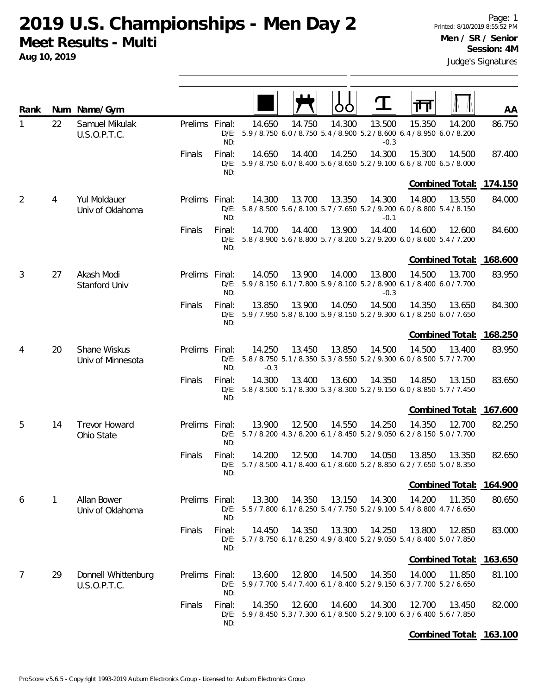**Aug 10, 2019**

| Rank           |    | Num Name/Gym                        |                |                          |                  |        |        |                  |                                                                                        |        | AA      |
|----------------|----|-------------------------------------|----------------|--------------------------|------------------|--------|--------|------------------|----------------------------------------------------------------------------------------|--------|---------|
| 1              | 22 | Samuel Mikulak<br>U.S.O.P.T.C.      | Prelims Final: | ND:                      | 14.650           | 14.750 | 14.300 | 13.500<br>$-0.3$ | 15.350<br>D/E: 5.9 / 8.750 6.0 / 8.750 5.4 / 8.900 5.2 / 8.600 6.4 / 8.950 6.0 / 8.200 | 14.200 | 86.750  |
|                |    |                                     | Finals         | Final:<br>ND:            | 14.650           | 14.400 | 14.250 | 14.300           | 15.300<br>D/E: 5.9 / 8.750 6.0 / 8.400 5.6 / 8.650 5.2 / 9.100 6.6 / 8.700 6.5 / 8.000 | 14.500 | 87.400  |
|                |    |                                     |                |                          |                  |        |        |                  | Combined Total: 174.150                                                                |        |         |
| $\overline{2}$ | 4  | Yul Moldauer<br>Univ of Oklahoma    | Prelims Final: | ND:                      | 14.300           | 13.700 | 13.350 | 14.300<br>$-0.1$ | 14.800<br>D/E: 5.8 / 8.500 5.6 / 8.100 5.7 / 7.650 5.2 / 9.200 6.0 / 8.800 5.4 / 8.150 | 13.550 | 84.000  |
|                |    |                                     | Finals         | Final:<br>ND:            | 14.700           | 14.400 | 13.900 | 14.400           | 14.600<br>D/E: 5.8 / 8.900 5.6 / 8.800 5.7 / 8.200 5.2 / 9.200 6.0 / 8.600 5.4 / 7.200 | 12.600 | 84.600  |
|                |    |                                     |                |                          |                  |        |        |                  | Combined Total:                                                                        |        | 168.600 |
| 3              | 27 | Akash Modi<br>Stanford Univ         | Prelims Final: | ND:                      | 14.050           | 13.900 | 14.000 | 13.800<br>$-0.3$ | 14.500<br>D/E: 5.9 / 8.150 6.1 / 7.800 5.9 / 8.100 5.2 / 8.900 6.1 / 8.400 6.0 / 7.700 | 13.700 | 83.950  |
|                |    |                                     | Finals         | Final:<br>ND:            | 13.850           | 13.900 | 14.050 | 14.500           | 14.350<br>D/E: 5.9 / 7.950 5.8 / 8.100 5.9 / 8.150 5.2 / 9.300 6.1 / 8.250 6.0 / 7.650 | 13.650 | 84.300  |
|                |    |                                     |                |                          |                  |        |        |                  | Combined Total:                                                                        |        | 168.250 |
| 4              | 20 | Shane Wiskus<br>Univ of Minnesota   | Prelims Final: | ND:                      | 14.250<br>$-0.3$ | 13.450 | 13.850 | 14.500           | 14.500<br>D/E: 5.8 / 8.750 5.1 / 8.350 5.3 / 8.550 5.2 / 9.300 6.0 / 8.500 5.7 / 7.700 | 13.400 | 83.950  |
|                |    |                                     | Finals         | Final:<br>ND:            | 14.300           | 13.400 | 13.600 | 14.350           | 14.850<br>D/E: 5.8 / 8.500 5.1 / 8.300 5.3 / 8.300 5.2 / 9.150 6.0 / 8.850 5.7 / 7.450 | 13.150 | 83.650  |
|                |    |                                     |                |                          |                  |        |        |                  | Combined Total: 167.600                                                                |        |         |
| 5              | 14 | <b>Trevor Howard</b><br>Ohio State  | Prelims Final: | ND:                      | 13.900           | 12.500 | 14.550 | 14.250           | 14.350<br>D/E: 5.7 / 8.200 4.3 / 8.200 6.1 / 8.450 5.2 / 9.050 6.2 / 8.150 5.0 / 7.700 | 12.700 | 82.250  |
|                |    |                                     | Finals         | Final:<br>$D/E$ :<br>ND: | 14.200           | 12.500 | 14.700 | 14.050           | 13.850<br>5.7 / 8.500 4.1 / 8.400 6.1 / 8.600 5.2 / 8.850 6.2 / 7.650 5.0 / 8.350      | 13.350 | 82.650  |
|                |    |                                     |                |                          |                  |        |        |                  | Combined Total: 164.900                                                                |        |         |
| 6              | 1  | Allan Bower<br>Univ of Oklahoma     | Prelims Final: | ND:                      | 13.300           | 14.350 | 13.150 | 14.300           | 14.200<br>D/E: 5.5 / 7.800 6.1 / 8.250 5.4 / 7.750 5.2 / 9.100 5.4 / 8.800 4.7 / 6.650 | 11.350 | 80.650  |
|                |    |                                     | Finals         | Final:<br>ND:            | 14.450           | 14.350 | 13.300 | 14.250           | 13.800<br>D/E: 5.7 / 8.750 6.1 / 8.250 4.9 / 8.400 5.2 / 9.050 5.4 / 8.400 5.0 / 7.850 | 12.850 | 83.000  |
|                |    |                                     |                |                          |                  |        |        |                  | <b>Combined Total:</b>                                                                 |        | 163.650 |
| $\overline{7}$ | 29 | Donnell Whittenburg<br>U.S.O.P.T.C. | Prelims Final: | ND:                      | 13.600           | 12.800 | 14.500 | 14.350           | 14.000<br>D/E: 5.9 / 7.700 5.4 / 7.400 6.1 / 8.400 5.2 / 9.150 6.3 / 7.700 5.2 / 6.650 | 11.850 | 81.100  |
|                |    |                                     | Finals         | Final:<br>ND:            | 14.350           | 12.600 | 14.600 | 14.300           | 12.700<br>D/E: 5.9 / 8.450 5.3 / 7.300 6.1 / 8.500 5.2 / 9.100 6.3 / 6.400 5.6 / 7.850 | 13.450 | 82.000  |
|                |    |                                     |                |                          |                  |        |        |                  |                                                                                        |        |         |

**Combined Total: 163.100**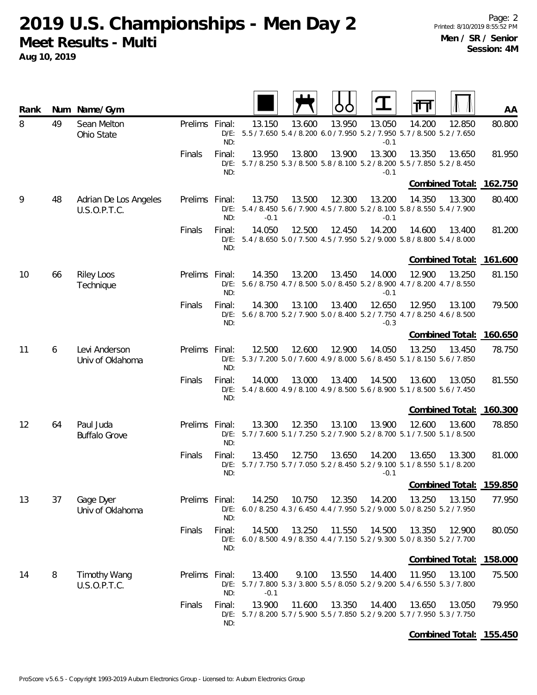**2019 U.S. Championships - Men Day 2**

**Meet Results - Multi**

**Aug 10, 2019**

| Rank |    | Num Name/Gym                          |                |                          |                  |        |        |                  | ╥╖                                                                                               | AA             |
|------|----|---------------------------------------|----------------|--------------------------|------------------|--------|--------|------------------|--------------------------------------------------------------------------------------------------|----------------|
| 8    | 49 | Sean Melton<br>Ohio State             | Prelims Final: | ND:                      | 13.150           | 13.600 | 13.950 | 13.050<br>$-0.1$ | 14.200<br>12.850<br>D/E: 5.5 / 7.650 5.4 / 8.200 6.0 / 7.950 5.2 / 7.950 5.7 / 8.500 5.2 / 7.650 | 80.800         |
|      |    |                                       | Finals         | Final:<br>ND:            | 13.950           | 13.800 | 13.900 | 13.300<br>$-0.1$ | 13.350<br>13.650<br>D/E: 5.7 / 8.250 5.3 / 8.500 5.8 / 8.100 5.2 / 8.200 5.5 / 7.850 5.2 / 8.450 | 81.950         |
|      |    |                                       |                |                          |                  |        |        |                  | Combined Total: 162.750                                                                          |                |
| 9    | 48 | Adrian De Los Angeles<br>U.S.O.P.T.C. | Prelims Final: | ND:                      | 13.750<br>$-0.1$ | 13.500 | 12.300 | 13.200<br>$-0.1$ | 14.350<br>13.300<br>D/E: 5.4 / 8.450 5.6 / 7.900 4.5 / 7.800 5.2 / 8.100 5.8 / 8.550 5.4 / 7.900 | 80.400         |
|      |    |                                       | Finals         | Final:<br>ND:            | 14.050           | 12.500 | 12.450 | 14.200           | 14.600<br>13.400<br>D/E: 5.4 / 8.650 5.0 / 7.500 4.5 / 7.950 5.2 / 9.000 5.8 / 8.800 5.4 / 8.000 | 81.200         |
|      |    |                                       |                |                          |                  |        |        |                  | Combined Total: 161.600                                                                          |                |
| 10   | 66 | <b>Riley Loos</b><br>Technique        | Prelims Final: | ND:                      | 14.350           | 13.200 | 13.450 | 14.000<br>$-0.1$ | 12.900<br>13.250<br>D/E: 5.6 / 8.750 4.7 / 8.500 5.0 / 8.450 5.2 / 8.900 4.7 / 8.200 4.7 / 8.550 | 81.150         |
|      |    |                                       | Finals         | Final:<br>$D/E$ :<br>ND: | 14.300           | 13.100 | 13.400 | 12.650<br>$-0.3$ | 12.950<br>13.100<br>5.6 / 8.700 5.2 / 7.900 5.0 / 8.400 5.2 / 7.750 4.7 / 8.250 4.6 / 8.500      | 79.500         |
|      |    |                                       |                |                          |                  |        |        |                  | Combined Total: 160.650                                                                          |                |
| 11   | 6  | Levi Anderson<br>Univ of Oklahoma     | Prelims Final: | ND:                      | 12.500           | 12.600 | 12.900 | 14.050           | 13.250<br>13.450<br>D/E: 5.3 / 7.200 5.0 / 7.600 4.9 / 8.000 5.6 / 8.450 5.1 / 8.150 5.6 / 7.850 | 78.750         |
|      |    |                                       | Finals         | Final:<br>ND:            | 14.000           | 13.000 | 13.400 | 14.500           | 13.600<br>13.050<br>D/E: 5.4 / 8.600 4.9 / 8.100 4.9 / 8.500 5.6 / 8.900 5.1 / 8.500 5.6 / 7.450 | 81.550         |
|      |    |                                       |                |                          |                  |        |        |                  | <b>Combined Total:</b>                                                                           | 160.300        |
| 12   | 64 | Paul Juda<br><b>Buffalo Grove</b>     | Prelims Final: | ND:                      | 13.300           | 12.350 | 13.100 | 13.900           | 12.600<br>13.600<br>D/E: 5.7 / 7.600 5.1 / 7.250 5.2 / 7.900 5.2 / 8.700 5.1 / 7.500 5.1 / 8.500 | 78.850         |
|      |    |                                       | Finals         | Final:<br>ND:            | 13.450           | 12.750 | 13.650 | 14.200<br>$-0.1$ | 13.300<br>13.650<br>D/E: 5.7 / 7.750 5.7 / 7.050 5.2 / 8.450 5.2 / 9.100 5.1 / 8.550 5.1 / 8.200 | 81.000         |
|      |    |                                       |                |                          |                  |        |        |                  | Combined Total:                                                                                  | <u>159.850</u> |
| 13   | 37 | Gage Dyer<br>Univ of Oklahoma         | Prelims Final: | ND:                      | 14.250           | 10.750 | 12.350 | 14.200           | 13.250<br>13.150<br>D/E: 6.0 / 8.250 4.3 / 6.450 4.4 / 7.950 5.2 / 9.000 5.0 / 8.250 5.2 / 7.950 | 77.950         |
|      |    |                                       | Finals         | Final:<br>ND:            | 14.500           | 13.250 | 11.550 | 14.500           | 13.350<br>12.900<br>D/E: 6.0 / 8.500 4.9 / 8.350 4.4 / 7.150 5.2 / 9.300 5.0 / 8.350 5.2 / 7.700 | 80.050         |
|      |    |                                       |                |                          |                  |        |        |                  | Combined Total: 158.000                                                                          |                |
| 14   | 8  | <b>Timothy Wang</b><br>U.S.O.P.T.C.   | Prelims Final: | ND:                      | 13.400<br>$-0.1$ | 9.100  | 13.550 | 14.400           | 11.950<br>13.100<br>D/E: 5.7 / 7.800 5.3 / 3.800 5.5 / 8.050 5.2 / 9.200 5.4 / 6.550 5.3 / 7.800 | 75.500         |
|      |    |                                       | Finals         | Final:<br>ND:            | 13.900           | 11.600 | 13.350 | 14.400           | 13.650<br>13.050<br>D/E: 5.7 / 8.200 5.7 / 5.900 5.5 / 7.850 5.2 / 9.200 5.7 / 7.950 5.3 / 7.750 | 79.950         |
|      |    |                                       |                |                          |                  |        |        |                  | Combined Total: 155.450                                                                          |                |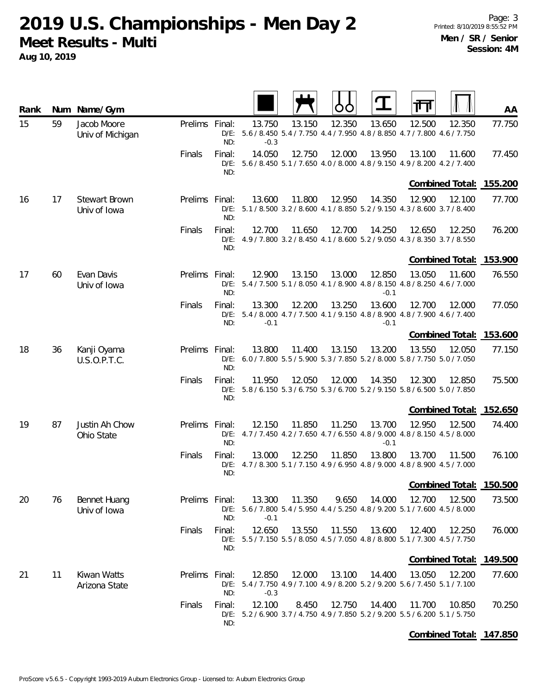| Rank |    | Num Name/Gym                        |                |               |                  |        | OO     |                  |                                                                                        |        | AA                      |
|------|----|-------------------------------------|----------------|---------------|------------------|--------|--------|------------------|----------------------------------------------------------------------------------------|--------|-------------------------|
| 15   | 59 | Jacob Moore<br>Univ of Michigan     | Prelims Final: | ND:           | 13.750<br>$-0.3$ | 13.150 | 12.350 | 13.650           | 12.500<br>D/E: 5.6 / 8.450 5.4 / 7.750 4.4 / 7.950 4.8 / 8.850 4.7 / 7.800 4.6 / 7.750 | 12.350 | 77.750                  |
|      |    |                                     | Finals         | Final:<br>ND: | 14.050           | 12.750 | 12.000 | 13.950           | 13.100<br>D/E: 5.6 / 8.450 5.1 / 7.650 4.0 / 8.000 4.8 / 9.150 4.9 / 8.200 4.2 / 7.400 | 11.600 | 77.450                  |
|      |    |                                     |                |               |                  |        |        |                  |                                                                                        |        | Combined Total: 155.200 |
| 16   | 17 | Stewart Brown<br>Univ of Iowa       | Prelims Final: | ND:           | 13.600           | 11.800 | 12.950 | 14.350           | 12.900<br>D/E: 5.1 / 8.500 3.2 / 8.600 4.1 / 8.850 5.2 / 9.150 4.3 / 8.600 3.7 / 8.400 | 12.100 | 77.700                  |
|      |    |                                     | Finals         | Final:<br>ND: | 12.700           | 11.650 | 12.700 | 14.250           | 12.650<br>D/E: 4.9 / 7.800 3.2 / 8.450 4.1 / 8.600 5.2 / 9.050 4.3 / 8.350 3.7 / 8.550 | 12.250 | 76.200                  |
|      |    |                                     |                |               |                  |        |        |                  | <b>Combined Total:</b>                                                                 |        | 153.900                 |
| 17   | 60 | Evan Davis<br>Univ of Iowa          | <b>Prelims</b> | Final:<br>ND: | 12.900           | 13.150 | 13.000 | 12.850<br>$-0.1$ | 13.050<br>D/E: 5.4 / 7.500 5.1 / 8.050 4.1 / 8.900 4.8 / 8.150 4.8 / 8.250 4.6 / 7.000 | 11.600 | 76.550                  |
|      |    |                                     | Finals         | Final:<br>ND: | 13.300<br>$-0.1$ | 12.200 | 13.250 | 13.600<br>$-0.1$ | 12.700<br>D/E: 5.4 / 8.000 4.7 / 7.500 4.1 / 9.150 4.8 / 8.900 4.8 / 7.900 4.6 / 7.400 | 12.000 | 77.050                  |
|      |    |                                     |                |               |                  |        |        |                  |                                                                                        |        | Combined Total: 153.600 |
| 18   | 36 | Kanji Oyama<br>U.S.O.P.T.C.         | Prelims        | Final:<br>ND: | 13.800           | 11.400 | 13.150 | 13.200           | 13.550<br>D/E: 6.0 / 7.800 5.5 / 5.900 5.3 / 7.850 5.2 / 8.000 5.8 / 7.750 5.0 / 7.050 | 12.050 | 77.150                  |
|      |    |                                     | Finals         | Final:<br>ND: | 11.950           | 12.050 | 12.000 | 14.350           | 12.300<br>D/E: 5.8 / 6.150 5.3 / 6.750 5.3 / 6.700 5.2 / 9.150 5.8 / 6.500 5.0 / 7.850 | 12.850 | 75.500                  |
|      |    |                                     |                |               |                  |        |        |                  | Combined Total:                                                                        |        | 152.650                 |
| 19   | 87 | Justin Ah Chow<br>Ohio State        | Prelims Final: | ND:           | 12.150           | 11.850 | 11.250 | 13.700<br>$-0.1$ | 12.950<br>D/E: 4.7 / 7.450 4.2 / 7.650 4.7 / 6.550 4.8 / 9.000 4.8 / 8.150 4.5 / 8.000 | 12.500 | 74.400                  |
|      |    |                                     | Finals         | Final:<br>ND: | 13.000           | 12.250 | 11.850 | 13.800           | 13.700<br>D/E: 4.7 / 8.300 5.1 / 7.150 4.9 / 6.950 4.8 / 9.000 4.8 / 8.900 4.5 / 7.000 | 11.500 | 76.100                  |
|      |    |                                     |                |               |                  |        |        |                  |                                                                                        |        | Combined Total: 150.500 |
| 20   | 76 | <b>Bennet Huang</b><br>Univ of Iowa | Prelims Final: | ND:           | 13.300<br>$-0.1$ | 11.350 | 9.650  | 14.000           | 12.700<br>D/E: 5.6 / 7.800 5.4 / 5.950 4.4 / 5.250 4.8 / 9.200 5.1 / 7.600 4.5 / 8.000 | 12.500 | 73.500                  |
|      |    |                                     | Finals         | Final:<br>ND: | 12.650           | 13.550 | 11.550 | 13.600           | 12.400<br>D/E: 5.5 / 7.150 5.5 / 8.050 4.5 / 7.050 4.8 / 8.800 5.1 / 7.300 4.5 / 7.750 | 12.250 | 76.000                  |
|      |    |                                     |                |               |                  |        |        |                  | Combined Total:                                                                        |        | 149.500                 |
| 21   | 11 | Kiwan Watts<br>Arizona State        | Prelims Final: | ND:           | 12.850<br>$-0.3$ | 12.000 | 13.100 | 14.400           | 13.050<br>D/E: 5.4 / 7.750 4.9 / 7.100 4.9 / 8.200 5.2 / 9.200 5.6 / 7.450 5.1 / 7.100 | 12.200 | 77.600                  |
|      |    |                                     | Finals         | Final:<br>ND: | 12.100           | 8.450  | 12.750 | 14.400           | 11.700<br>D/E: 5.2 / 6.900 3.7 / 4.750 4.9 / 7.850 5.2 / 9.200 5.5 / 6.200 5.1 / 5.750 | 10.850 | 70.250                  |
|      |    |                                     |                |               |                  |        |        |                  |                                                                                        |        | Combined Total: 147.850 |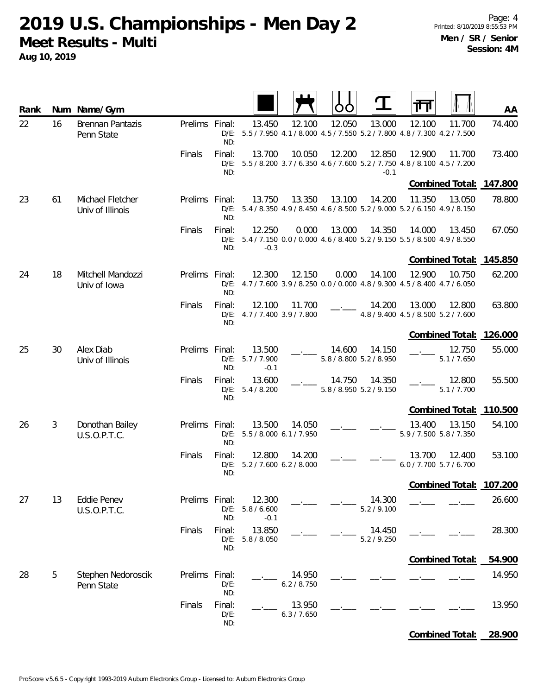| Rank |    | Num Name/Gym                         |                |                          |                                        |                       |        |                                   |                                                                                                  | AA      |
|------|----|--------------------------------------|----------------|--------------------------|----------------------------------------|-----------------------|--------|-----------------------------------|--------------------------------------------------------------------------------------------------|---------|
| 22   | 16 | Brennan Pantazis<br>Penn State       | Prelims Final: | ND:                      | 13.450                                 | 12.100                | 12.050 | 13.000                            | 12.100<br>11.700<br>D/E: 5.5 / 7.950 4.1 / 8.000 4.5 / 7.550 5.2 / 7.800 4.8 / 7.300 4.2 / 7.500 | 74.400  |
|      |    |                                      | Finals         | Final:<br>ND:            | 13.700                                 | 10.050                | 12.200 | 12.850<br>$-0.1$                  | 12.900<br>11.700<br>D/E: 5.5 / 8.200 3.7 / 6.350 4.6 / 7.600 5.2 / 7.750 4.8 / 8.100 4.5 / 7.200 | 73.400  |
|      |    |                                      |                |                          |                                        |                       |        |                                   | Combined Total: 147.800                                                                          |         |
| 23   | 61 | Michael Fletcher<br>Univ of Illinois | Prelims Final: | ND:                      | 13.750                                 | 13.350                | 13.100 | 14.200                            | 11.350<br>13.050<br>D/E: 5.4 / 8.350 4.9 / 8.450 4.6 / 8.500 5.2 / 9.000 5.2 / 6.150 4.9 / 8.150 | 78.800  |
|      |    |                                      | Finals         | Final:<br>ND:            | 12.250<br>$-0.3$                       | 0.000                 | 13.000 | 14.350                            | 14.000<br>13.450<br>D/E: 5.4 / 7.150 0.0 / 0.000 4.6 / 8.400 5.2 / 9.150 5.5 / 8.500 4.9 / 8.550 | 67.050  |
|      |    |                                      |                |                          |                                        |                       |        |                                   | Combined Total: 145.850                                                                          |         |
| 24   | 18 | Mitchell Mandozzi<br>Univ of Iowa    | Prelims Final: | ND:                      | 12.300                                 | 12.150                | 0.000  | 14.100                            | 12.900<br>10.750<br>D/E: 4.7 / 7.600 3.9 / 8.250 0.0 / 0.000 4.8 / 9.300 4.5 / 8.400 4.7 / 6.050 | 62.200  |
|      |    |                                      | Finals         | Final:<br>ND:            | 12.100<br>D/E: 4.7 / 7.400 3.9 / 7.800 | 11.700                |        | 14.200                            | 13.000<br>12.800<br>4.8 / 9.400 4.5 / 8.500 5.2 / 7.600                                          | 63.800  |
|      |    |                                      |                |                          |                                        |                       |        |                                   | Combined Total: 126.000                                                                          |         |
| 25   | 30 | Alex Diab<br>Univ of Illinois        | Prelims Final: | ND:                      | 13.500<br>D/E: 5.7 / 7.900<br>$-0.1$   |                       | 14.600 | 14.150<br>5.8 / 8.800 5.2 / 8.950 | 12.750<br>5.1 / 7.650                                                                            | 55.000  |
|      |    |                                      | Finals         | Final:<br>ND:            | 13.600<br>D/E: 5.4 / 8.200             |                       | 14.750 | 14.350<br>5.8 / 8.950 5.2 / 9.150 | 12.800<br>5.1 / 7.700                                                                            | 55.500  |
|      |    |                                      |                |                          |                                        |                       |        |                                   | Combined Total: 110.500                                                                          |         |
| 26   | 3  | Donothan Bailey<br>U.S.O.P.T.C.      | Prelims Final: | ND:                      | 13.500<br>D/E: 5.5 / 8.000 6.1 / 7.950 | 14.050                |        |                                   | 13.400<br>13.150<br>5.9 / 7.500 5.8 / 7.350                                                      | 54.100  |
|      |    |                                      | Finals         | Final:<br>ND:            | 12.800<br>D/E: 5.2 / 7.600 6.2 / 8.000 | 14.200                |        |                                   | 13.700<br>12.400<br>$6.0 / 7.700$ 5.7/6.700                                                      | 53.100  |
|      |    |                                      |                |                          |                                        |                       |        |                                   | Combined Total:                                                                                  | 107.200 |
| 27   | 13 | <b>Eddie Penev</b><br>U.S.O.P.T.C.   | Prelims Final: | $D/E$ :<br>ND:           | 12.300<br>5.8 / 6.600<br>$-0.1$        |                       |        | 14.300<br>5.2 / 9.100             |                                                                                                  | 26.600  |
|      |    |                                      | Finals         | Final:<br>$D/E$ :<br>ND: | 13.850<br>5.8 / 8.050                  |                       |        | 14.450<br>5.2 / 9.250             |                                                                                                  | 28.300  |
|      |    |                                      |                |                          |                                        |                       |        |                                   | Combined Total:                                                                                  | 54.900  |
| 28   | 5  | Stephen Nedoroscik<br>Penn State     | Prelims Final: | $D/E$ :<br>ND:           |                                        | 14.950<br>6.2 / 8.750 |        |                                   |                                                                                                  | 14.950  |
|      |    |                                      | Finals         | Final:<br>$D/E$ :<br>ND: |                                        | 13.950<br>6.3 / 7.650 |        |                                   |                                                                                                  | 13.950  |
|      |    |                                      |                |                          |                                        |                       |        |                                   | Combined Total:                                                                                  | 28.900  |